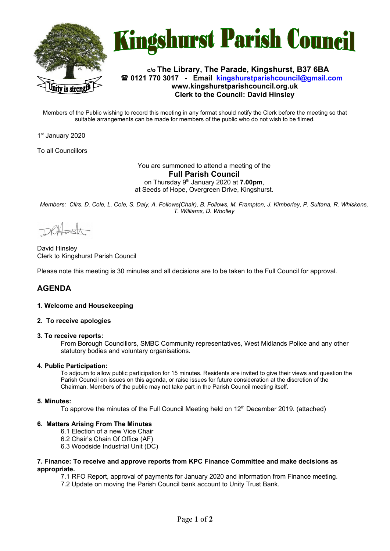



## **c/o The Library, The Parade, Kingshurst, B37 6BA 0121 770 3017 - Email [kingshurstparishcouncil@gmail.com](mailto:kingshurstparishcouncil@gmail.com) www.kingshurstparishcouncil.org.uk Clerk to the Council: David Hinsley**

Members of the Public wishing to record this meeting in any format should notify the Clerk before the meeting so that suitable arrangements can be made for members of the public who do not wish to be filmed.

1<sup>st</sup> January 2020

To all Councillors

#### You are summoned to attend a meeting of the **Full Parish Council**  on Thursday 9th January 2020 at **7.00pm**, at Seeds of Hope, Overgreen Drive, Kingshurst.

*Members: Cllrs. D. Cole, L. Cole, S. Daly, A. Follows(Chair), B. Follows, M. Frampton, J. Kimberley, P. Sultana, R. Whiskens, T. Williams, D. Woolley*

DRAFFERT

David Hinsley Clerk to Kingshurst Parish Council

Please note this meeting is 30 minutes and all decisions are to be taken to the Full Council for approval.

# **AGENDA**

## **1. Welcome and Housekeeping**

#### **2. To receive apologies**

#### **3. To receive reports:**

From Borough Councillors, SMBC Community representatives, West Midlands Police and any other statutory bodies and voluntary organisations.

#### **4. Public Participation:**

To adjourn to allow public participation for 15 minutes. Residents are invited to give their views and question the Parish Council on issues on this agenda, or raise issues for future consideration at the discretion of the Chairman. Members of the public may not take part in the Parish Council meeting itself.

## **5. Minutes:**

To approve the minutes of the Full Council Meeting held on  $12<sup>th</sup>$  December 2019. (attached)

## **6. Matters Arising From The Minutes**

- 6.1 Election of a new Vice Chair
- 6.2 Chair's Chain Of Office (AF)
- 6.3 Woodside Industrial Unit (DC)

#### **7. Finance: To receive and approve reports from KPC Finance Committee and make decisions as appropriate.**

7.1 RFO Report, approval of payments for January 2020 and information from Finance meeting.

7.2 Update on moving the Parish Council bank account to Unity Trust Bank.